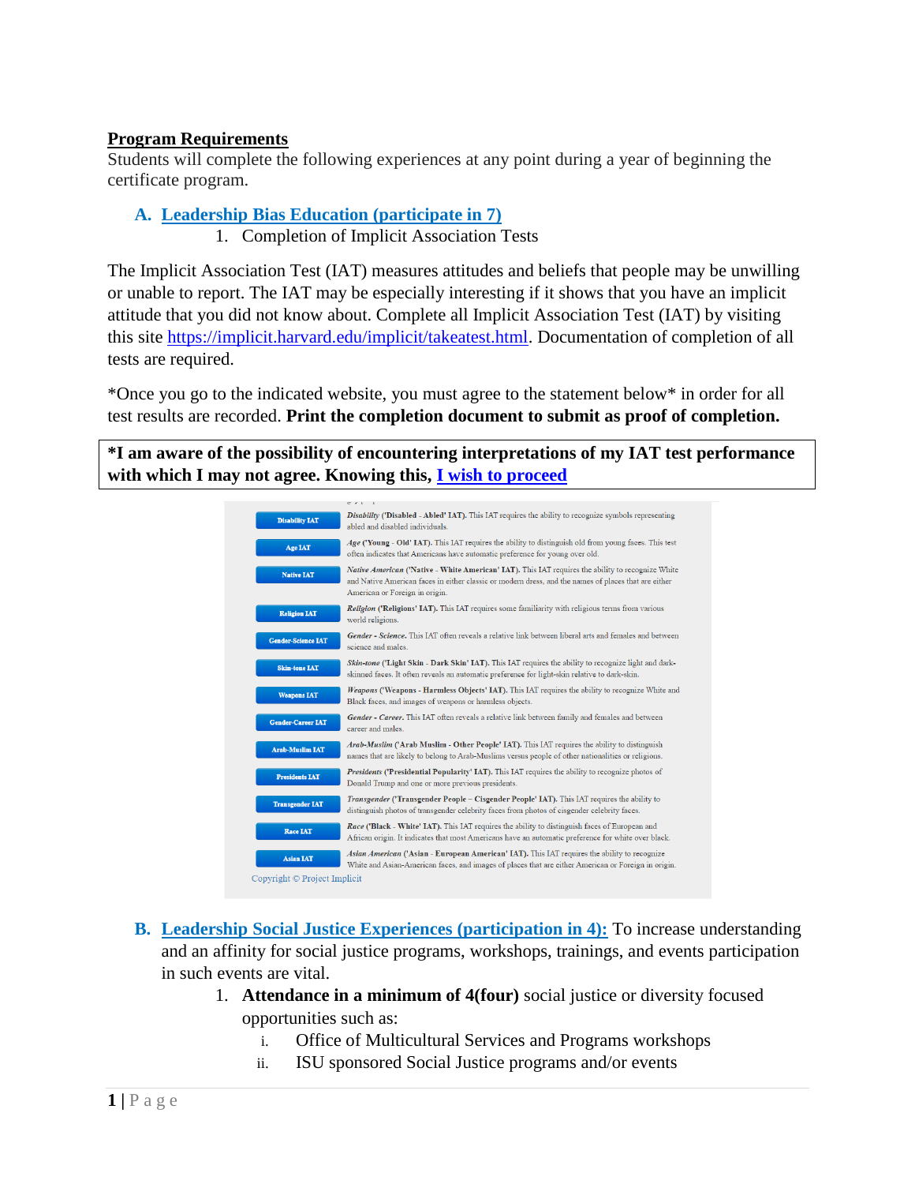#### **Program Requirements**

Students will complete the following experiences at any point during a year of beginning the certificate program.

#### **A. Leadership Bias Education (participate in 7)**

1. Completion of Implicit Association Tests

The Implicit Association Test (IAT) measures attitudes and beliefs that people may be unwilling or unable to report. The IAT may be especially interesting if it shows that you have an implicit attitude that you did not know about. Complete all Implicit Association Test (IAT) by visiting this site [https://implicit.harvard.edu/implicit/takeatest.html.](https://implicit.harvard.edu/implicit/takeatest.html) Documentation of completion of all tests are required.

\*Once you go to the indicated website, you must agree to the statement below\* in order for all test results are recorded. **Print the completion document to submit as proof of completion.**

**\*I am aware of the possibility of encountering interpretations of my IAT test performance with which I may not agree. Knowing this, [I wish to proceed](https://implicit.harvard.edu/implicit/selectatest.html)**

|                              | $\sigma \rightarrow 1 - 1$                                                                                                                                                                                                                  |
|------------------------------|---------------------------------------------------------------------------------------------------------------------------------------------------------------------------------------------------------------------------------------------|
| <b>Disability IAT</b>        | Disability ('Disabled - Abled' IAT). This IAT requires the ability to recognize symbols representing<br>abled and disabled individuals.                                                                                                     |
| <b>Age IAT</b>               | $Age$ ('Young - Old' IAT). This IAT requires the ability to distinguish old from young faces. This test<br>often indicates that Americans have automatic preference for young over old.                                                     |
| <b>Native IAT</b>            | Native American ('Native - White American' IAT). This IAT requires the ability to recognize White<br>and Native American faces in either classic or modern dress, and the names of places that are either<br>American or Foreign in origin. |
| <b>Religion IAT</b>          | <b>Religion ('Religions' IAT).</b> This IAT requires some familiarity with religious terms from various<br>world religions.                                                                                                                 |
| <b>Gender-Science IAT</b>    | Gender - Science. This IAT often reveals a relative link between liberal arts and females and between<br>science and males.                                                                                                                 |
| <b>Skin-tone IAT</b>         | Skin-tone ('Light Skin - Dark Skin' IAT). This IAT requires the ability to recognize light and dark-<br>skinned faces. It often reveals an automatic preference for light-skin relative to dark-skin.                                       |
| <b>Weapons IAT</b>           | Weapons ('Weapons - Harmless Objects' IAT). This IAT requires the ability to recognize White and<br>Black faces, and images of weapons or harmless objects.                                                                                 |
| <b>Gender-Career IAT</b>     | Gender - Career. This IAT often reveals a relative link between family and females and between<br>career and males.                                                                                                                         |
| <b>Arab-Muslim IAT</b>       | Arab-Muslim ('Arab Muslim - Other People' IAT). This IAT requires the ability to distinguish<br>names that are likely to belong to Arab-Muslims versus people of other nationalities or religions.                                          |
| <b>Presidents IAT</b>        | Presidents ('Presidential Popularity' IAT). This IAT requires the ability to recognize photos of<br>Donald Trump and one or more previous presidents.                                                                                       |
| <b>Transgender IAT</b>       | Transgender ('Transgender People – Cisgender People' IAT). This IAT requires the ability to<br>distinguish photos of transgender celebrity faces from photos of cisgender celebrity faces.                                                  |
| <b>Race IAT</b>              | Race ('Black - White' IAT). This IAT requires the ability to distinguish faces of European and<br>African origin. It indicates that most Americans have an automatic preference for white over black.                                       |
| <b>Asian IAT</b>             | Asian American ('Asian - European American' IAT). This IAT requires the ability to recognize<br>White and Asian-American faces, and images of places that are either American or Foreign in origin.                                         |
| Copyright © Project Implicit |                                                                                                                                                                                                                                             |

- **B. Leadership Social Justice Experiences (participation in 4):** To increase understanding and an affinity for social justice programs, workshops, trainings, and events participation in such events are vital.
	- 1. **Attendance in a minimum of 4(four)** social justice or diversity focused opportunities such as:
		- i. Office of Multicultural Services and Programs workshops
		- ii. ISU sponsored Social Justice programs and/or events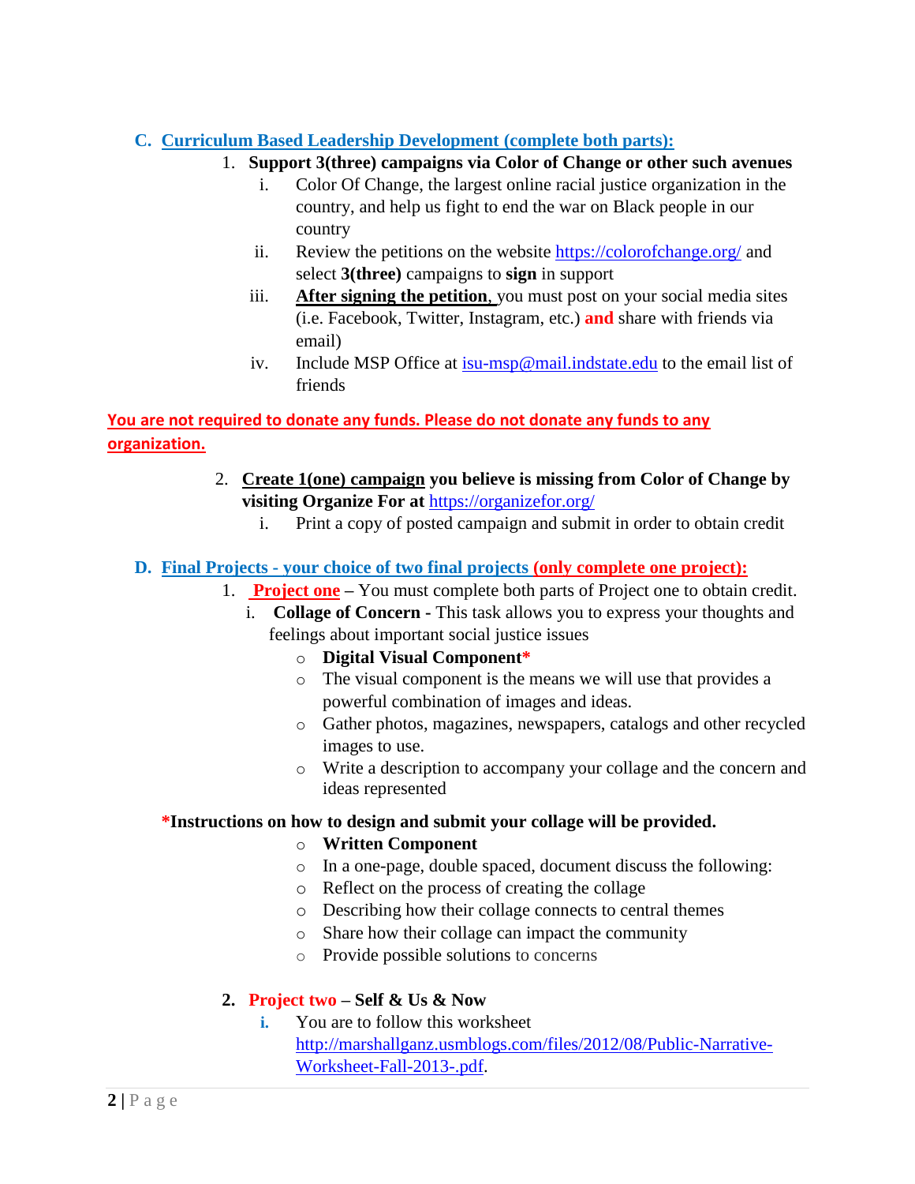## **C. Curriculum Based Leadership Development (complete both parts):**

- 1. **Support 3(three) campaigns via Color of Change or other such avenues**
	- i. Color Of Change, the largest online racial justice organization in the country, and help us fight to end the war on Black people in our country
	- ii. Review the petitions on the website<https://colorofchange.org/> and select **3(three)** campaigns to **sign** in support
	- iii. **After signing the petition**, you must post on your social media sites (i.e. Facebook, Twitter, Instagram, etc.) **and** share with friends via email)
	- iv. Include MSP Office at [isu-msp@mail.indstate.edu](mailto:isu-msp@mail.indstate.edu) to the email list of friends

# **You are not required to donate any funds. Please do not donate any funds to any organization.**

- 2. **Create 1(one) campaign you believe is missing from Color of Change by visiting Organize For at** <https://organizefor.org/>
	- i. Print a copy of posted campaign and submit in order to obtain credit

## **D. Final Projects - your choice of two final projects (only complete one project):**

- 1. **Project one –** You must complete both parts of Project one to obtain credit.
	- i. **Collage of Concern -** This task allows you to express your thoughts and feelings about important social justice issues

## o **Digital Visual Component\***

- o The visual component is the means we will use that provides a powerful combination of images and ideas.
- o Gather photos, magazines, newspapers, catalogs and other recycled images to use.
- o Write a description to accompany your collage and the concern and ideas represented

## **\*Instructions on how to design and submit your collage will be provided.**

## o **Written Component**

- o In a one-page, double spaced, document discuss the following:
- o Reflect on the process of creating the collage
- o Describing how their collage connects to central themes
- o Share how their collage can impact the community
- o Provide possible solutions to concerns

## **2. Project two – Self & Us & Now**

**i.** You are to follow this worksheet [http://marshallganz.usmblogs.com/files/2012/08/Public-Narrative-](http://marshallganz.usmblogs.com/files/2012/08/Public-Narrative-Worksheet-Fall-2013-.pdf)[Worksheet-Fall-2013-.pdf.](http://marshallganz.usmblogs.com/files/2012/08/Public-Narrative-Worksheet-Fall-2013-.pdf)